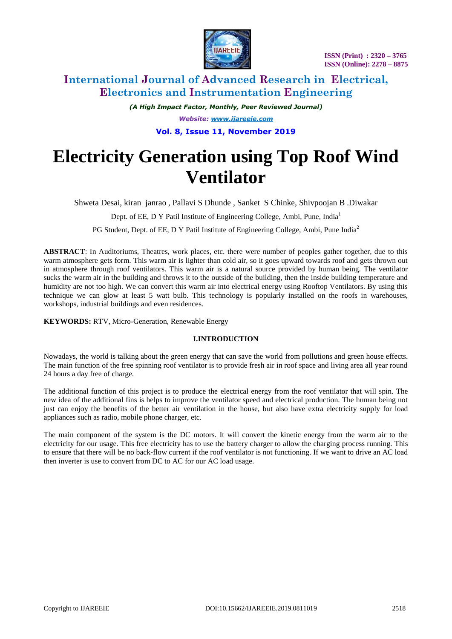

 **ISSN (Print) : 2320 – 3765 ISSN (Online): 2278 – 8875**

# **International Journal of Advanced Research in Electrical, Electronics and Instrumentation Engineering**

*(A High Impact Factor, Monthly, Peer Reviewed Journal) Website: [www.ijareeie.com](http://www.ijareeie.com/)*

**Vol. 8, Issue 11, November 2019**

# **Electricity Generation using Top Roof Wind Ventilator**

Shweta Desai, kiran janrao , Pallavi S Dhunde , Sanket S Chinke, Shivpoojan B .Diwakar

Dept. of EE, D Y Patil Institute of Engineering College, Ambi, Pune, India<sup>1</sup>

PG Student, Dept. of EE, D Y Patil Institute of Engineering College, Ambi, Pune India<sup>2</sup>

**ABSTRACT**: In Auditoriums, Theatres, work places, etc. there were number of peoples gather together, due to this warm atmosphere gets form. This warm air is lighter than cold air, so it goes upward towards roof and gets thrown out in atmosphere through roof ventilators. This warm air is a natural source provided by human being. The ventilator sucks the warm air in the building and throws it to the outside of the building, then the inside building temperature and humidity are not too high. We can convert this warm air into electrical energy using Rooftop Ventilators. By using this technique we can glow at least 5 watt bulb. This technology is popularly installed on the roofs in warehouses, workshops, industrial buildings and even residences.

**KEYWORDS:** RTV, Micro-Generation, Renewable Energy

### **I.INTRODUCTION**

Nowadays, the world is talking about the green energy that can save the world from pollutions and green house effects. The main function of the free spinning roof ventilator is to provide fresh air in roof space and living area all year round 24 hours a day free of charge.

The additional function of this project is to produce the electrical energy from the roof ventilator that will spin. The new idea of the additional fins is helps to improve the ventilator speed and electrical production. The human being not just can enjoy the benefits of the better air ventilation in the house, but also have extra electricity supply for load appliances such as radio, mobile phone charger, etc.

The main component of the system is the DC motors. It will convert the kinetic energy from the warm air to the electricity for our usage. This free electricity has to use the battery charger to allow the charging process running. This to ensure that there will be no back-flow current if the roof ventilator is not functioning. If we want to drive an AC load then inverter is use to convert from DC to AC for our AC load usage.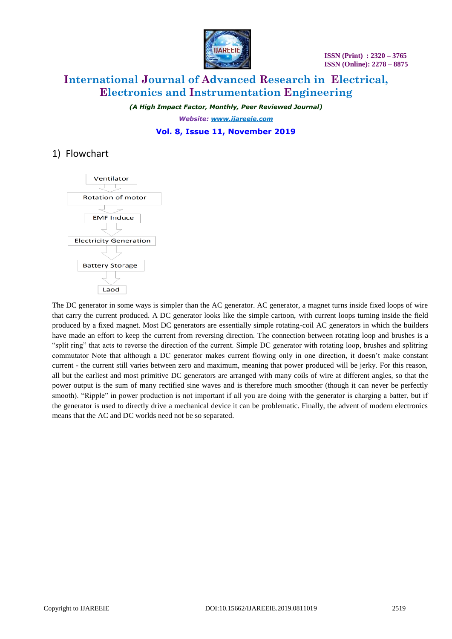

# **International Journal of Advanced Research in Electrical, Electronics and Instrumentation Engineering**

*(A High Impact Factor, Monthly, Peer Reviewed Journal) Website: [www.ijareeie.com](http://www.ijareeie.com/)* **Vol. 8, Issue 11, November 2019**

### 1) Flowchart



The DC generator in some ways is simpler than the AC generator. AC generator, a magnet turns inside fixed loops of wire that carry the current produced. A DC generator looks like the simple cartoon, with current loops turning inside the field produced by a fixed magnet. Most DC generators are essentially simple rotating-coil AC generators in which the builders have made an effort to keep the current from reversing direction. The connection between rotating loop and brushes is a "split ring" that acts to reverse the direction of the current. Simple DC generator with rotating loop, brushes and splitring commutator Note that although a DC generator makes current flowing only in one direction, it doesn't make constant current - the current still varies between zero and maximum, meaning that power produced will be jerky. For this reason, all but the earliest and most primitive DC generators are arranged with many coils of wire at different angles, so that the power output is the sum of many rectified sine waves and is therefore much smoother (though it can never be perfectly smooth). "Ripple" in power production is not important if all you are doing with the generator is charging a batter, but if the generator is used to directly drive a mechanical device it can be problematic. Finally, the advent of modern electronics means that the AC and DC worlds need not be so separated.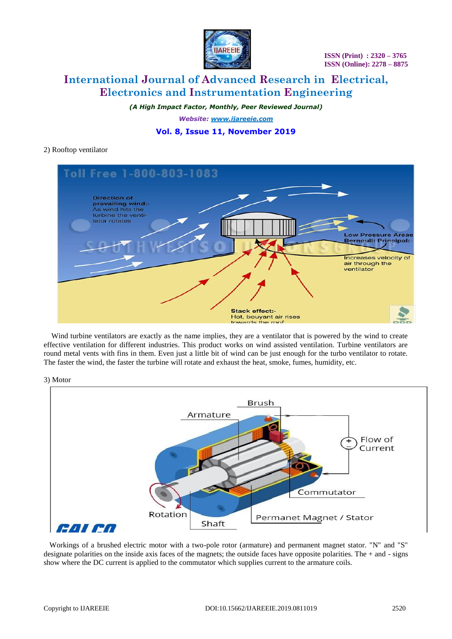

# **International Journal of Advanced Research in Electrical, Electronics and Instrumentation Engineering**

*(A High Impact Factor, Monthly, Peer Reviewed Journal) Website: [www.ijareeie.com](http://www.ijareeie.com/)*

### **Vol. 8, Issue 11, November 2019**

### 2) Rooftop ventilator



 Wind turbine ventilators are exactly as the name implies, they are a ventilator that is powered by the wind to create effective ventilation for different industries. This product works on wind assisted ventilation. Turbine ventilators are round metal vents with fins in them. Even just a little bit of wind can be just enough for the turbo ventilator to rotate. The faster the wind, the faster the turbine will rotate and exhaust the heat, smoke, fumes, humidity, etc.

3) Motor



 Workings of a brushed electric motor with a two-pole rotor (armature) and permanent magnet stator. "N" and "S" designate polarities on the inside axis faces of the magnets; the outside faces have opposite polarities. The  $+$  and  $-$  signs show where the DC current is applied to the commutator which supplies current to the armature coils.